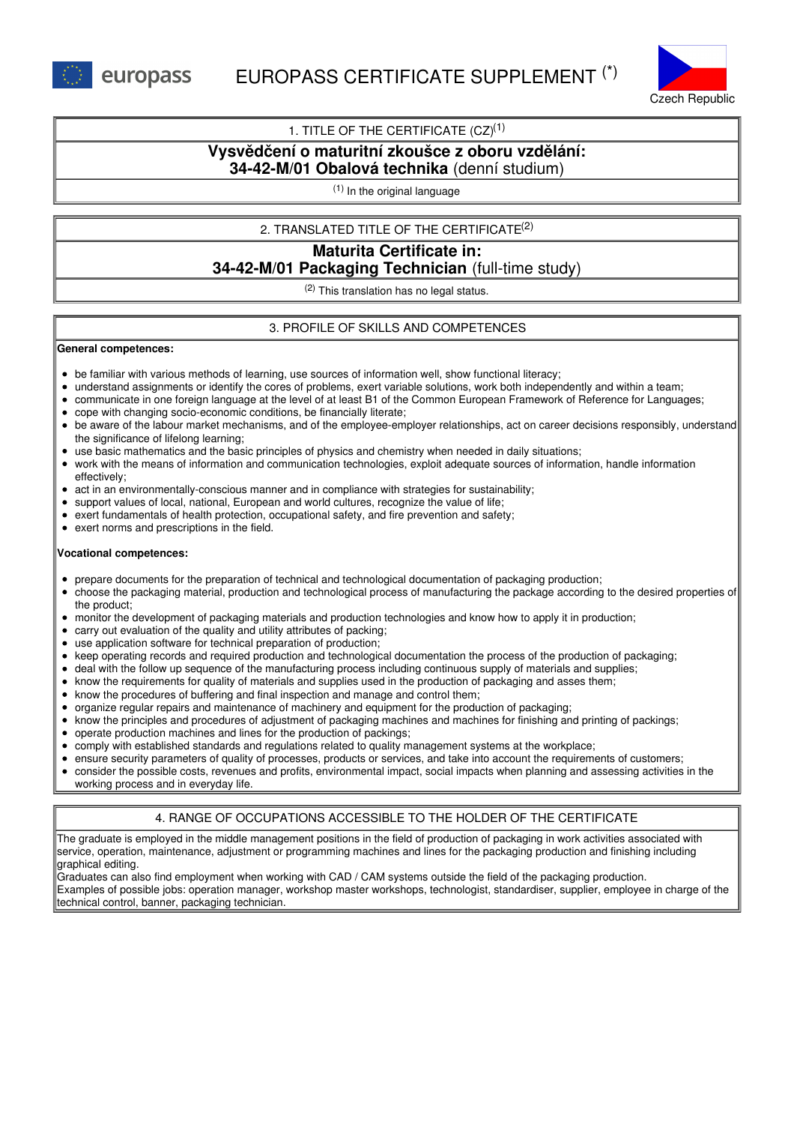

## 1. TITLE OF THE CERTIFICATE  $(CZ)^{(1)}$

# **Vysvědčení o maturitní zkoušce z oboru vzdělání:**

## **34-42-M/01 Obalová technika** (denní studium)

(1) In the original language

### 2. TRANSLATED TITLE OF THE CERTIFICATE (2)

## **Maturita Certificate in: 34-42-M/01 Packaging Technician** (full-time study)

(2) This translation has no legal status.

### 3. PROFILE OF SKILLS AND COMPETENCES

#### **General competences:**

- be familiar with various methods of learning, use sources of information well, show functional literacy;
- understand assignments or identify the cores of problems, exert variable solutions, work both independently and within a team;
- communicate in one foreign language at the level of at least B1 of the Common European Framework of Reference for Languages;
- cope with changing socio-economic conditions, be financially literate;
- be aware of the labour market mechanisms, and of the employee-employer relationships, act on career decisions responsibly, understand the significance of lifelong learning;
- use basic mathematics and the basic principles of physics and chemistry when needed in daily situations;
- work with the means of information and communication technologies, exploit adequate sources of information, handle information effectively;
- act in an environmentally-conscious manner and in compliance with strategies for sustainability;  $\bullet$
- support values of local, national, European and world cultures, recognize the value of life;
- exert fundamentals of health protection, occupational safety, and fire prevention and safety;
- exert norms and prescriptions in the field.

#### **Vocational competences:**

- $\bullet$ prepare documents for the preparation of technical and technological documentation of packaging production;
- choose the packaging material, production and technological process of manufacturing the package according to the desired properties of the product;
- monitor the development of packaging materials and production technologies and know how to apply it in production;
- carry out evaluation of the quality and utility attributes of packing;
- use application software for technical preparation of production;  $\bullet$
- keep operating records and required production and technological documentation the process of the production of packaging;
- deal with the follow up sequence of the manufacturing process including continuous supply of materials and supplies;
- know the requirements for quality of materials and supplies used in the production of packaging and asses them;
- know the procedures of buffering and final inspection and manage and control them;
- organize regular repairs and maintenance of machinery and equipment for the production of packaging;
- know the principles and procedures of adjustment of packaging machines and machines for finishing and printing of packings;
- operate production machines and lines for the production of packings;
- comply with established standards and regulations related to quality management systems at the workplace;
- ensure security parameters of quality of processes, products or services, and take into account the requirements of customers;
- consider the possible costs, revenues and profits, environmental impact, social impacts when planning and assessing activities in the working process and in everyday life.

## 4. RANGE OF OCCUPATIONS ACCESSIBLE TO THE HOLDER OF THE CERTIFICATE

The graduate is employed in the middle management positions in the field of production of packaging in work activities associated with service, operation, maintenance, adjustment or programming machines and lines for the packaging production and finishing including graphical editing.

Graduates can also find employment when working with CAD / CAM systems outside the field of the packaging production. Examples of possible jobs: operation manager, workshop master workshops, technologist, standardiser, supplier, employee in charge of the technical control, banner, packaging technician.